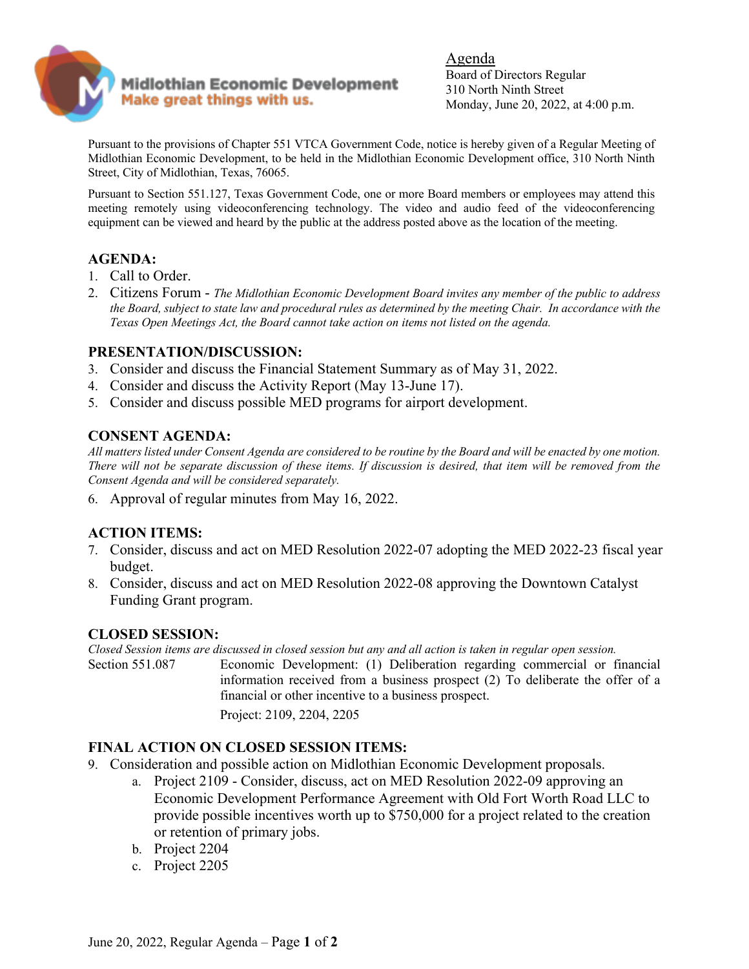

Agenda Board of Directors Regular 310 North Ninth Street Monday, June 20, 2022, at 4:00 p.m.

Pursuant to the provisions of Chapter 551 VTCA Government Code, notice is hereby given of a Regular Meeting of Midlothian Economic Development, to be held in the Midlothian Economic Development office, 310 North Ninth Street, City of Midlothian, Texas, 76065.

Pursuant to Section 551.127, Texas Government Code, one or more Board members or employees may attend this meeting remotely using videoconferencing technology. The video and audio feed of the videoconferencing equipment can be viewed and heard by the public at the address posted above as the location of the meeting.

## **AGENDA:**

- 1. Call to Order.
- 2. Citizens Forum *The Midlothian Economic Development Board invites any member of the public to address the Board, subject to state law and procedural rules as determined by the meeting Chair. In accordance with the Texas Open Meetings Act, the Board cannot take action on items not listed on the agenda.*

#### **PRESENTATION/DISCUSSION:**

- 3. Consider and discuss the Financial Statement Summary as of May 31, 2022.
- 4. Consider and discuss the Activity Report (May 13-June 17).
- 5. Consider and discuss possible MED programs for airport development.

## **CONSENT AGENDA:**

*All matters listed under Consent Agenda are considered to be routine by the Board and will be enacted by one motion. There will not be separate discussion of these items. If discussion is desired, that item will be removed from the Consent Agenda and will be considered separately.* 

6. Approval of regular minutes from May 16, 2022.

#### **ACTION ITEMS:**

- 7. Consider, discuss and act on MED Resolution 2022-07 adopting the MED 2022-23 fiscal year budget.
- 8. Consider, discuss and act on MED Resolution 2022-08 approving the Downtown Catalyst Funding Grant program.

#### **CLOSED SESSION:**

*Closed Session items are discussed in closed session but any and all action is taken in regular open session.* 

Section 551.087 Economic Development: (1) Deliberation regarding commercial or financial information received from a business prospect (2) To deliberate the offer of a financial or other incentive to a business prospect.

Project: 2109, 2204, 2205

## **FINAL ACTION ON CLOSED SESSION ITEMS:**

- 9. Consideration and possible action on Midlothian Economic Development proposals.
	- a. Project 2109 Consider, discuss, act on MED Resolution 2022-09 approving an Economic Development Performance Agreement with Old Fort Worth Road LLC to provide possible incentives worth up to \$750,000 for a project related to the creation or retention of primary jobs.
	- b. Project 2204
	- c. Project 2205